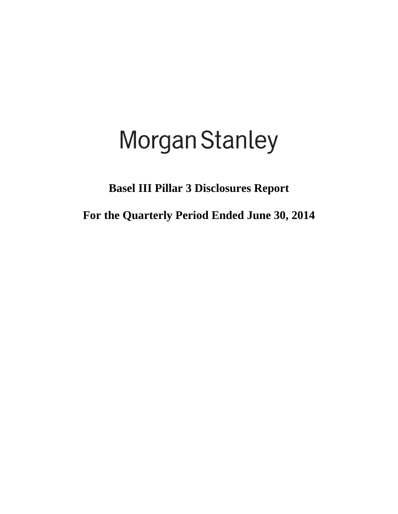# Morgan Stanley

## **Basel III Pillar 3 Disclosures Report**

**For the Quarterly Period Ended June 30, 2014**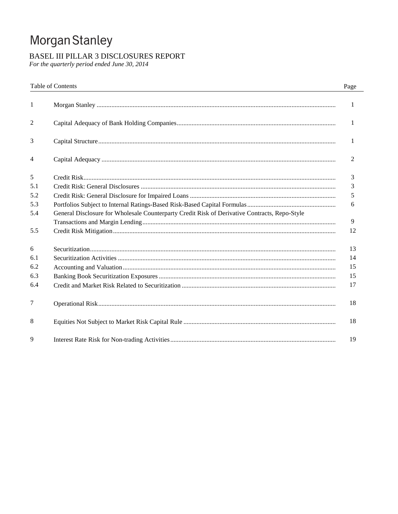## Morgan Stanley

### BASEL III PILLAR 3 DISCLOSURES REPORT

For the quarterly period ended June 30, 2014

|     | Table of Contents                                                                             | Page |
|-----|-----------------------------------------------------------------------------------------------|------|
| 1   |                                                                                               | 1    |
| 2   |                                                                                               | 1    |
| 3   |                                                                                               | 1    |
| 4   |                                                                                               | 2    |
| 5   |                                                                                               | 3    |
| 5.1 |                                                                                               | 3    |
| 5.2 |                                                                                               | 5    |
| 5.3 |                                                                                               | 6    |
| 5.4 | General Disclosure for Wholesale Counterparty Credit Risk of Derivative Contracts, Repo-Style |      |
|     |                                                                                               | 9    |
| 5.5 |                                                                                               | 12   |
| 6   |                                                                                               | 13   |
| 6.1 |                                                                                               | 14   |
| 6.2 |                                                                                               | 15   |
| 6.3 |                                                                                               | 15   |
| 6.4 |                                                                                               | 17   |
| 7   |                                                                                               | 18   |
| 8   |                                                                                               | 18   |
| 9   |                                                                                               | 19   |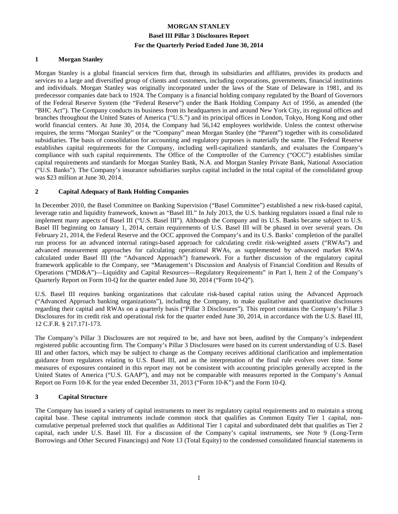#### **1 Morgan Stanley**

Morgan Stanley is a global financial services firm that, through its subsidiaries and affiliates, provides its products and services to a large and diversified group of clients and customers, including corporations, governments, financial institutions and individuals. Morgan Stanley was originally incorporated under the laws of the State of Delaware in 1981, and its predecessor companies date back to 1924. The Company is a financial holding company regulated by the Board of Governors of the Federal Reserve System (the "Federal Reserve") under the Bank Holding Company Act of 1956, as amended (the "BHC Act"). The Company conducts its business from its headquarters in and around New York City, its regional offices and branches throughout the United States of America ("U.S.") and its principal offices in London, Tokyo, Hong Kong and other world financial centers. At June 30, 2014, the Company had 56,142 employees worldwide. Unless the context otherwise requires, the terms "Morgan Stanley" or the "Company" mean Morgan Stanley (the "Parent") together with its consolidated subsidiaries. The basis of consolidation for accounting and regulatory purposes is materially the same. The Federal Reserve establishes capital requirements for the Company, including well-capitalized standards, and evaluates the Company's compliance with such capital requirements. The Office of the Comptroller of the Currency ("OCC") establishes similar capital requirements and standards for Morgan Stanley Bank, N.A. and Morgan Stanley Private Bank, National Association ("U.S. Banks"). The Company's insurance subsidiaries surplus capital included in the total capital of the consolidated group was \$23 million at June 30, 2014.

#### **2 Capital Adequacy of Bank Holding Companies**

In December 2010, the Basel Committee on Banking Supervision ("Basel Committee") established a new risk-based capital, leverage ratio and liquidity framework, known as "Basel III." In July 2013, the U.S. banking regulators issued a final rule to implement many aspects of Basel III ("U.S. Basel III"). Although the Company and its U.S. Banks became subject to U.S. Basel III beginning on January 1, 2014, certain requirements of U.S. Basel III will be phased in over several years. On February 21, 2014, the Federal Reserve and the OCC approved the Company's and its U.S. Banks' completion of the parallel run process for an advanced internal ratings-based approach for calculating credit risk-weighted assets ("RWAs") and advanced measurement approaches for calculating operational RWAs, as supplemented by advanced market RWAs calculated under Basel III (the "Advanced Approach") framework. For a further discussion of the regulatory capital framework applicable to the Company, see "Management's Discussion and Analysis of Financial Condition and Results of Operations ("MD&A")—Liquidity and Capital Resources—Regulatory Requirements" in Part I, Item 2 of the Company's Quarterly Report on Form 10-Q for the quarter ended June 30, 2014 ("Form 10-Q").

U.S. Basel III requires banking organizations that calculate risk-based capital ratios using the Advanced Approach ("Advanced Approach banking organizations"), including the Company, to make qualitative and quantitative disclosures regarding their capital and RWAs on a quarterly basis ("Pillar 3 Disclosures"). This report contains the Company's Pillar 3 Disclosures for its credit risk and operational risk for the quarter ended June 30, 2014, in accordance with the U.S. Basel III, 12 C.F.R. § 217.171-173.

The Company's Pillar 3 Disclosures are not required to be, and have not been, audited by the Company's independent registered public accounting firm. The Company's Pillar 3 Disclosures were based on its current understanding of U.S. Basel III and other factors, which may be subject to change as the Company receives additional clarification and implementation guidance from regulators relating to U.S. Basel III, and as the interpretation of the final rule evolves over time. Some measures of exposures contained in this report may not be consistent with accounting principles generally accepted in the United States of America ("U.S. GAAP"), and may not be comparable with measures reported in the Company's Annual Report on Form 10-K for the year ended December 31, 2013 ("Form 10-K") and the Form 10-Q.

#### **3 Capital Structure**

The Company has issued a variety of capital instruments to meet its regulatory capital requirements and to maintain a strong capital base. These capital instruments include common stock that qualifies as Common Equity Tier 1 capital, noncumulative perpetual preferred stock that qualifies as Additional Tier 1 capital and subordinated debt that qualifies as Tier 2 capital, each under U.S. Basel III. For a discussion of the Company's capital instruments, see Note 9 (Long-Term Borrowings and Other Secured Financings) and Note 13 (Total Equity) to the condensed consolidated financial statements in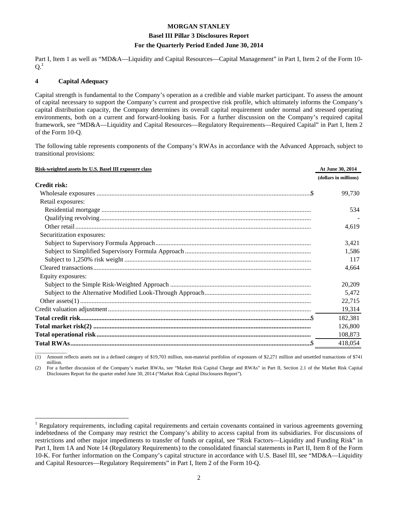#### **Basel III Pillar 3 Disclosures Report**

#### **For the Quarterly Period Ended June 30, 2014**

Part I, Item 1 as well as "MD&A—Liquidity and Capital Resources—Capital Management" in Part I, Item 2 of the Form 10- $Q<sup>1</sup>$ 

#### **4 Capital Adequacy**

 $\overline{a}$ 

Capital strength is fundamental to the Company's operation as a credible and viable market participant. To assess the amount of capital necessary to support the Company's current and prospective risk profile, which ultimately informs the Company's capital distribution capacity, the Company determines its overall capital requirement under normal and stressed operating environments, both on a current and forward-looking basis. For a further discussion on the Company's required capital framework, see "MD&A—Liquidity and Capital Resources—Regulatory Requirements—Required Capital" in Part I, Item 2 of the Form 10-Q.

The following table represents components of the Company's RWAs in accordance with the Advanced Approach, subject to transitional provisions:

| Risk-weighted assets by U.S. Basel III exposure class | At June 30, 2014      |
|-------------------------------------------------------|-----------------------|
|                                                       | (dollars in millions) |
| <b>Credit risk:</b>                                   |                       |
|                                                       | 99,730                |
| Retail exposures:                                     |                       |
|                                                       | 534                   |
|                                                       |                       |
|                                                       | 4,619                 |
| Securitization exposures:                             |                       |
|                                                       | 3,421                 |
|                                                       | 1,586                 |
|                                                       | 117                   |
|                                                       | 4,664                 |
| Equity exposures:                                     |                       |
|                                                       | 20,209                |
|                                                       | 5,472                 |
|                                                       | 22,715                |
|                                                       | 19,314                |
|                                                       | 182,381               |
|                                                       | 126,800               |
|                                                       | 108,873               |
|                                                       | 418,054               |

 $\overline{\phantom{a}}$  , where  $\overline{\phantom{a}}$ (1) Amount reflects assets not in a defined category of \$19,703 million, non-material portfolios of exposures of \$2,271 million and unsettled transactions of \$741 million.

(2) For a further discussion of the Company's market RWAs, see "Market Risk Capital Charge and RWAs" in Part II, Section 2.1 of the Market Risk Capital Disclosures Report for the quarter ended June 30, 2014 ("Market Risk Capital Disclosures Report").

<sup>1</sup> Regulatory requirements, including capital requirements and certain covenants contained in various agreements governing indebtedness of the Company may restrict the Company's ability to access capital from its subsidiaries. For discussions of restrictions and other major impediments to transfer of funds or capital, see "Risk Factors—Liquidity and Funding Risk" in Part I, Item 1A and Note 14 (Regulatory Requirements) to the consolidated financial statements in Part II, Item 8 of the Form 10-K. For further information on the Company's capital structure in accordance with U.S. Basel III, see "MD&A—Liquidity and Capital Resources—Regulatory Requirements" in Part I, Item 2 of the Form 10-Q.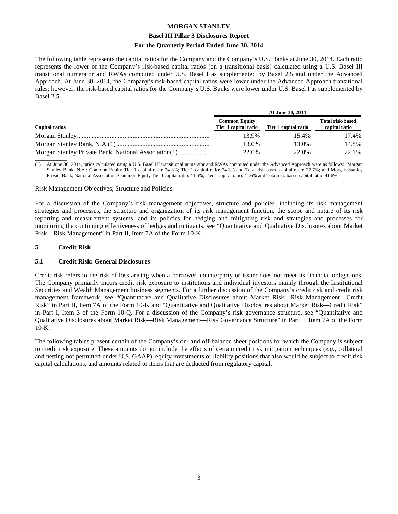#### **Basel III Pillar 3 Disclosures Report**

#### **For the Quarterly Period Ended June 30, 2014**

The following table represents the capital ratios for the Company and the Company's U.S. Banks at June 30, 2014. Each ratio represents the lower of the Company's risk-based capital ratios (on a transitional basis) calculated using a U.S. Basel III transitional numerator and RWAs computed under U.S. Basel I as supplemented by Basel 2.5 and under the Advanced Approach. At June 30, 2014, the Company's risk-based capital ratios were lower under the Advanced Approach transitional rules; however, the risk-based capital ratios for the Company's U.S. Banks were lower under U.S. Basel I as supplemented by Basel 2.5.

|                       |                                              | At June 30, 2014     |                                          |
|-----------------------|----------------------------------------------|----------------------|------------------------------------------|
| <b>Capital ratios</b> | <b>Common Equity</b><br>Tier 1 capital ratio | Tier 1 capital ratio | <b>Total risk-based</b><br>capital ratio |
|                       | 13.9%                                        | 15.4%                | 17.4%                                    |
|                       | 13.0%                                        | 13.0%                | 14.8%                                    |
|                       | 22.0%                                        | 22.0%                | 22.1%                                    |

 $\overline{\phantom{a}}$  , where  $\overline{\phantom{a}}$ (1) At June 30, 2014, ratios calculated using a U.S. Basel III transitional numerator and RWAs computed under the Advanced Approach were as follows: Morgan Stanley Bank, N.A.: Common Equity Tier 1 capital ratio: 24.3%; Tier 1 capital ratio: 24.3% and Total risk-based capital ratio: 27.7%; and Morgan Stanley Private Bank, National Association: Common Equity Tier 1 capital ratio: 41.6%; Tier 1 capital ratio: 41.6% and Total risk-based capital ratio: 41.6%.

#### Risk Management Objectives, Structure and Policies

For a discussion of the Company's risk management objectives, structure and policies, including its risk management strategies and processes, the structure and organization of its risk management function, the scope and nature of its risk reporting and measurement systems, and its policies for hedging and mitigating risk and strategies and processes for monitoring the continuing effectiveness of hedges and mitigants, see "Quantitative and Qualitative Disclosures about Market Risk—Risk Management" in Part II, Item 7A of the Form 10-K.

#### **5 Credit Risk**

#### **5.1 Credit Risk: General Disclosures**

Credit risk refers to the risk of loss arising when a borrower, counterparty or issuer does not meet its financial obligations. The Company primarily incurs credit risk exposure to institutions and individual investors mainly through the Institutional Securities and Wealth Management business segments. For a further discussion of the Company's credit risk and credit risk management framework, see "Quantitative and Qualitative Disclosures about Market Risk—Risk Management—Credit Risk" in Part II, Item 7A of the Form 10-K and "Quantitative and Qualitative Disclosures about Market Risk—Credit Risk" in Part I, Item 3 of the Form 10-Q. For a discussion of the Company's risk governance structure, see "Quantitative and Qualitative Disclosures about Market Risk—Risk Management—Risk Governance Structure" in Part II, Item 7A of the Form  $10-K$ .

The following tables present certain of the Company's on- and off-balance sheet positions for which the Company is subject to credit risk exposure. These amounts do not include the effects of certain credit risk mitigation techniques (*e.g.*, collateral and netting not permitted under U.S. GAAP), equity investments or liability positions that also would be subject to credit risk capital calculations, and amounts related to items that are deducted from regulatory capital.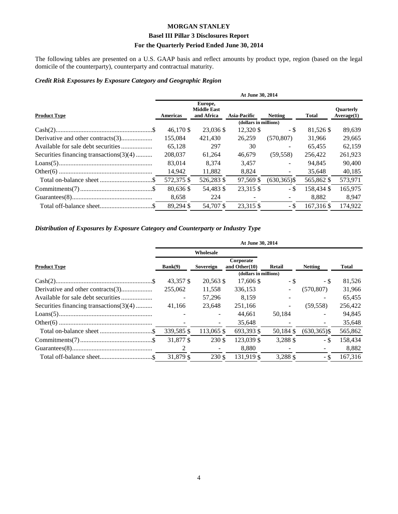#### **Basel III Pillar 3 Disclosures Report**

#### **For the Quarterly Period Ended June 30, 2014**

The following tables are presented on a U.S. GAAP basis and reflect amounts by product type, region (based on the legal domicile of the counterparty), counterparty and contractual maturity.

#### *Credit Risk Exposures by Exposure Category and Geographic Region*

|                                         | At June 30, 2014 |                                             |                       |                |              |                                |  |
|-----------------------------------------|------------------|---------------------------------------------|-----------------------|----------------|--------------|--------------------------------|--|
| <b>Product Type</b>                     | Americas         | Europe,<br><b>Middle East</b><br>and Africa | <b>Asia-Pacific</b>   | <b>Netting</b> | <b>Total</b> | <b>Ouarterly</b><br>Average(1) |  |
|                                         |                  |                                             | (dollars in millions) |                |              |                                |  |
|                                         | 46,170 \$        | 23,036 \$                                   | 12,320 \$             | - \$           | 81,526 \$    | 89,639                         |  |
|                                         | 155.084          | 421.430                                     | 26.259                | (570, 807)     | 31.966       | 29,665                         |  |
|                                         | 65,128           | 297                                         | 30                    |                | 65,455       | 62,159                         |  |
| Securities financing transactions(3)(4) | 208,037          | 61,264                                      | 46.679                | (59, 558)      | 256.422      | 261,923                        |  |
|                                         | 83,014           | 8.374                                       | 3.457                 |                | 94.845       | 90,400                         |  |
|                                         | 14,942           | 11,882                                      | 8,824                 |                | 35.648       | 40,185                         |  |
|                                         | 572,375 \$       | 526,283 \$                                  | 97.569 \$             | $(630.365)$ \$ | 565,862 \$   | 573,971                        |  |
|                                         | 80,636 \$        | 54,483 \$                                   | 23,315 \$             | - \$           | 158.434 \$   | 165,975                        |  |
|                                         | 8,658            | 224                                         |                       |                | 8.882        | 8,947                          |  |
|                                         | 89,294 \$        | 54,707\$                                    | 23.315 \$             | - \$           | 167.316 \$   | 174,922                        |  |

#### *Distribution of Exposures by Exposure Category and Counterparty or Industry Type*

|                                            | At June 30, 2014 |            |                            |           |                 |              |  |  |
|--------------------------------------------|------------------|------------|----------------------------|-----------|-----------------|--------------|--|--|
|                                            |                  | Wholesale  |                            |           |                 |              |  |  |
| <b>Product Type</b>                        | Bank(9)          | Sovereign  | Corporate<br>and Other(10) | Retail    | <b>Netting</b>  | <b>Total</b> |  |  |
|                                            |                  |            | (dollars in millions)      |           |                 |              |  |  |
|                                            | 43,357 \$        | 20,563 \$  | 17,606 \$                  | - \$      | - \$            | 81,526       |  |  |
| Derivative and other contracts(3)          | 255,062          | 11,558     | 336,153                    |           | (570, 807)      | 31,966       |  |  |
|                                            |                  | 57,296     | 8.159                      |           |                 | 65,455       |  |  |
| Securities financing transactions $(3)(4)$ | 41.166           | 23.648     | 251,166                    |           | (59, 558)       | 256,422      |  |  |
|                                            |                  |            | 44.661                     | 50.184    |                 | 94,845       |  |  |
|                                            |                  |            | 35,648                     |           |                 | 35,648       |  |  |
|                                            | 339,585 \$       | 113,065 \$ | 693,393 \$                 | 50,184 \$ | $(630, 365)$ \$ | 565,862      |  |  |
|                                            | 31.877 \$        | 230 \$     | 123,039 \$                 | 3,288 \$  | - \$            | 158,434      |  |  |
|                                            | 2                |            | 8,880                      |           |                 | 8,882        |  |  |
|                                            | 31,879 \$        | 230 \$     | 131.919 \$                 | 3,288 \$  | - \$            | 167,316      |  |  |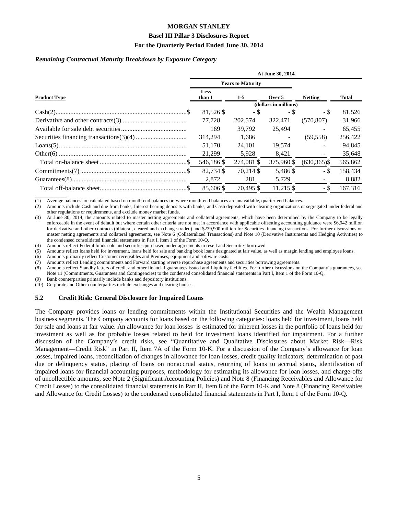#### **Basel III Pillar 3 Disclosures Report**

#### **For the Quarterly Period Ended June 30, 2014**

#### *Remaining Contractual Maturity Breakdown by Exposure Category*

|                     | At June 30, 2014      |                          |            |                 |         |  |  |
|---------------------|-----------------------|--------------------------|------------|-----------------|---------|--|--|
|                     |                       | <b>Years to Maturity</b> |            |                 |         |  |  |
| <b>Product Type</b> | Less<br>than 1        | $1-5$                    | Over 5     | <b>Netting</b>  | Total   |  |  |
|                     | (dollars in millions) |                          |            |                 |         |  |  |
|                     | 81,526 \$             | - \$                     | - \$       | - \$            | 81,526  |  |  |
|                     | 77.728                | 202,574                  | 322,471    | (570, 807)      | 31,966  |  |  |
|                     | 169                   | 39.792                   | 25.494     |                 | 65,455  |  |  |
|                     | 314.294               | 1.686                    |            | (59, 558)       | 256,422 |  |  |
|                     | 51,170                | 24,101                   | 19.574     |                 | 94,845  |  |  |
|                     | 21,299                | 5,928                    | 8,421      |                 | 35,648  |  |  |
|                     | 546,186 \$            | 274,081 \$               | 375,960 \$ | $(630, 365)$ \$ | 565,862 |  |  |
|                     | 82.734 \$             | 70.214 \$                | 5.486 \$   | - \$            | 158,434 |  |  |
|                     | 2,872                 | 281                      | 5.729      |                 | 8,882   |  |  |
|                     | 85,606 \$             | 70.495 \$                | 11,215 \$  | - \$            | 167.316 |  |  |

(1) Average balances are calculated based on month-end balances or, where month-end balances are unavailable, quarter-end balances.

(2) Amounts include Cash and due from banks, Interest bearing deposits with banks, and Cash deposited with clearing organizations or segregated under federal and other regulations or requirements, and exclude money market funds.

(3) At June 30, 2014, the amounts related to master netting agreements and collateral agreements, which have been determined by the Company to be legally enforceable in the event of default but where certain other criteria are not met in accordance with applicable offsetting accounting guidance were \$6,942 million for derivative and other contracts (bilateral, cleared and exchange-traded) and \$239,900 million for Securities financing transactions. For further discussions on master netting agreements and collateral agreements, see Note 6 (Collateralized Transactions) and Note 10 (Derivative Instruments and Hedging Activities) to the condensed consolidated financial statements in Part I, Item 1 of the Form 10-Q.

(4) Amounts reflect Federal funds sold and securities purchased under agreements to resell and Securities borrowed.<br>(5) Amounts reflect loans held for investment, loans held for sale and banking book loans designated at fa

(5) Amounts reflect loans held for investment, loans held for sale and banking book loans designated at fair value, as well as margin lending and employee loans.

(6) Amounts primarily reflect Customer receivables and Premises, equipment and software costs.

(7) Amounts reflect Lending commitments and Forward starting reverse repurchase agreements and securities borrowing agreements.

(8) Amounts reflect Standby letters of credit and other financial guarantees issued and Liquidity facilities. For further discussions on the Company's guarantees, see Note 11 (Commitments, Guarantees and Contingencies) to the condensed consolidated financial statements in Part I, Item 1 of the Form 10-Q.

Bank counterparties primarily include banks and depository institutions.

 $\overline{\phantom{a}}$  , where  $\overline{\phantom{a}}$ 

(10) Corporate and Other counterparties include exchanges and clearing houses.

#### **5.2 Credit Risk: General Disclosure for Impaired Loans**

The Company provides loans or lending commitments within the Institutional Securities and the Wealth Management business segments. The Company accounts for loans based on the following categories: loans held for investment, loans held for sale and loans at fair value. An allowance for loan losses is estimated for inherent losses in the portfolio of loans held for investment as well as for probable losses related to held for investment loans identified for impairment. For a further discussion of the Company's credit risks, see "Quantitative and Qualitative Disclosures about Market Risk—Risk Management—Credit Risk" in Part II, Item 7A of the Form 10-K. For a discussion of the Company's allowance for loan losses, impaired loans, reconciliation of changes in allowance for loan losses, credit quality indicators, determination of past due or delinquency status, placing of loans on nonaccrual status, returning of loans to accrual status, identification of impaired loans for financial accounting purposes, methodology for estimating its allowance for loan losses, and charge-offs of uncollectible amounts, see Note 2 (Significant Accounting Policies) and Note 8 (Financing Receivables and Allowance for Credit Losses) to the consolidated financial statements in Part II, Item 8 of the Form 10-K and Note 8 (Financing Receivables and Allowance for Credit Losses) to the condensed consolidated financial statements in Part I, Item 1 of the Form 10-Q.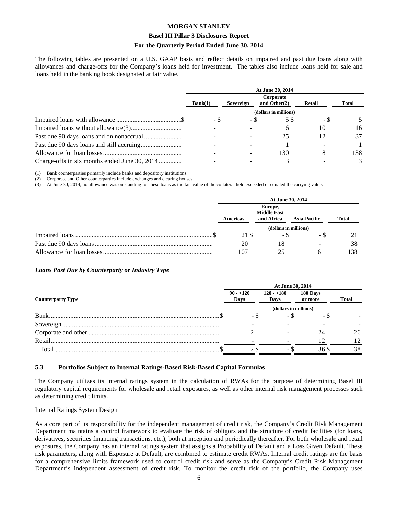#### **Basel III Pillar 3 Disclosures Report**

#### **For the Quarterly Period Ended June 30, 2014**

The following tables are presented on a U.S. GAAP basis and reflect details on impaired and past due loans along with allowances and charge-offs for the Company's loans held for investment. The tables also include loans held for sale and loans held in the banking book designated at fair value.

|                                               | At June 30, 2014 |           |                              |               |       |  |
|-----------------------------------------------|------------------|-----------|------------------------------|---------------|-------|--|
|                                               | Bank(1)          | Sovereign | Corporate<br>and Other $(2)$ | <b>Retail</b> | Total |  |
|                                               |                  |           | (dollars in millions)        |               |       |  |
|                                               | - \$             | - \$      | 58                           | - \$          |       |  |
|                                               |                  |           | 6                            | 10            | 16    |  |
|                                               |                  |           | 25                           | 12            | 37    |  |
|                                               |                  |           |                              |               |       |  |
|                                               |                  |           | 130                          | 8             | 138.  |  |
| Charge-offs in six months ended June 30, 2014 |                  |           |                              |               |       |  |

 $\overline{\phantom{a}}$  , where  $\overline{\phantom{a}}$ (1) Bank counterparties primarily include banks and depository institutions.

(2) Corporate and Other counterparties include exchanges and clearing houses.<br>
(3) At June 30, 2014, no allowance was outstanding for these loans as the fair

(3) At June 30, 2014, no allowance was outstanding for these loans as the fair value of the collateral held exceeded or equaled the carrying value.

| At June 30, 2014 |                                             |                          |              |  |
|------------------|---------------------------------------------|--------------------------|--------------|--|
| Americas         | Europe,<br><b>Middle East</b><br>and Africa | <b>Asia-Pacific</b>      | <b>Total</b> |  |
|                  | (dollars in millions)                       |                          |              |  |
| 21 S             | - \$                                        | - 75                     |              |  |
| 20               | 18                                          | $\overline{\phantom{0}}$ | 38           |  |
| 107              | つう                                          |                          | 138          |  |

#### *Loans Past Due by Counterparty or Industry Type*

|                          | At June 30, 2014      |                     |                     |              |  |  |  |
|--------------------------|-----------------------|---------------------|---------------------|--------------|--|--|--|
| <b>Counterparty Type</b> | $90 - 120$<br>Days    | $120 - 180$<br>Days | 180 Days<br>or more | <b>Total</b> |  |  |  |
|                          | (dollars in millions) |                     |                     |              |  |  |  |
|                          | - \$                  | - \$                | $-5$                |              |  |  |  |
|                          |                       |                     |                     |              |  |  |  |
|                          |                       |                     | 24                  | 26           |  |  |  |
| Retail                   |                       |                     |                     |              |  |  |  |
| Total                    |                       | - D                 | 36 S                | 38           |  |  |  |

#### **5.3 Portfolios Subject to Internal Ratings-Based Risk-Based Capital Formulas**

The Company utilizes its internal ratings system in the calculation of RWAs for the purpose of determining Basel III regulatory capital requirements for wholesale and retail exposures, as well as other internal risk management processes such as determining credit limits.

#### Internal Ratings System Design

As a core part of its responsibility for the independent management of credit risk, the Company's Credit Risk Management Department maintains a control framework to evaluate the risk of obligors and the structure of credit facilities (for loans, derivatives, securities financing transactions, etc.), both at inception and periodically thereafter. For both wholesale and retail exposures, the Company has an internal ratings system that assigns a Probability of Default and a Loss Given Default. These risk parameters, along with Exposure at Default, are combined to estimate credit RWAs. Internal credit ratings are the basis for a comprehensive limits framework used to control credit risk and serve as the Company's Credit Risk Management Department's independent assessment of credit risk. To monitor the credit risk of the portfolio, the Company uses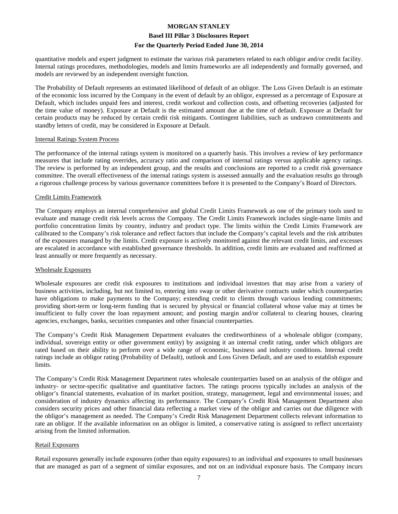#### **Basel III Pillar 3 Disclosures Report**

#### **For the Quarterly Period Ended June 30, 2014**

quantitative models and expert judgment to estimate the various risk parameters related to each obligor and/or credit facility. Internal ratings procedures, methodologies, models and limits frameworks are all independently and formally governed, and models are reviewed by an independent oversight function.

The Probability of Default represents an estimated likelihood of default of an obligor. The Loss Given Default is an estimate of the economic loss incurred by the Company in the event of default by an obligor, expressed as a percentage of Exposure at Default, which includes unpaid fees and interest, credit workout and collection costs, and offsetting recoveries (adjusted for the time value of money). Exposure at Default is the estimated amount due at the time of default. Exposure at Default for certain products may be reduced by certain credit risk mitigants. Contingent liabilities, such as undrawn commitments and standby letters of credit, may be considered in Exposure at Default.

#### Internal Ratings System Process

The performance of the internal ratings system is monitored on a quarterly basis. This involves a review of key performance measures that include rating overrides, accuracy ratio and comparison of internal ratings versus applicable agency ratings. The review is performed by an independent group, and the results and conclusions are reported to a credit risk governance committee. The overall effectiveness of the internal ratings system is assessed annually and the evaluation results go through a rigorous challenge process by various governance committees before it is presented to the Company's Board of Directors.

#### Credit Limits Framework

The Company employs an internal comprehensive and global Credit Limits Framework as one of the primary tools used to evaluate and manage credit risk levels across the Company. The Credit Limits Framework includes single-name limits and portfolio concentration limits by country, industry and product type. The limits within the Credit Limits Framework are calibrated to the Company's risk tolerance and reflect factors that include the Company's capital levels and the risk attributes of the exposures managed by the limits. Credit exposure is actively monitored against the relevant credit limits, and excesses are escalated in accordance with established governance thresholds. In addition, credit limits are evaluated and reaffirmed at least annually or more frequently as necessary.

#### Wholesale Exposures

Wholesale exposures are credit risk exposures to institutions and individual investors that may arise from a variety of business activities, including, but not limited to, entering into swap or other derivative contracts under which counterparties have obligations to make payments to the Company; extending credit to clients through various lending commitments; providing short-term or long-term funding that is secured by physical or financial collateral whose value may at times be insufficient to fully cover the loan repayment amount; and posting margin and/or collateral to clearing houses, clearing agencies, exchanges, banks, securities companies and other financial counterparties.

The Company's Credit Risk Management Department evaluates the creditworthiness of a wholesale obligor (company, individual, sovereign entity or other government entity) by assigning it an internal credit rating, under which obligors are rated based on their ability to perform over a wide range of economic, business and industry conditions. Internal credit ratings include an obligor rating (Probability of Default), outlook and Loss Given Default, and are used to establish exposure limits.

The Company's Credit Risk Management Department rates wholesale counterparties based on an analysis of the obligor and industry- or sector-specific qualitative and quantitative factors. The ratings process typically includes an analysis of the obligor's financial statements, evaluation of its market position, strategy, management, legal and environmental issues; and consideration of industry dynamics affecting its performance. The Company's Credit Risk Management Department also considers security prices and other financial data reflecting a market view of the obligor and carries out due diligence with the obligor's management as needed. The Company's Credit Risk Management Department collects relevant information to rate an obligor. If the available information on an obligor is limited, a conservative rating is assigned to reflect uncertainty arising from the limited information.

#### Retail Exposures

Retail exposures generally include exposures (other than equity exposures) to an individual and exposures to small businesses that are managed as part of a segment of similar exposures, and not on an individual exposure basis. The Company incurs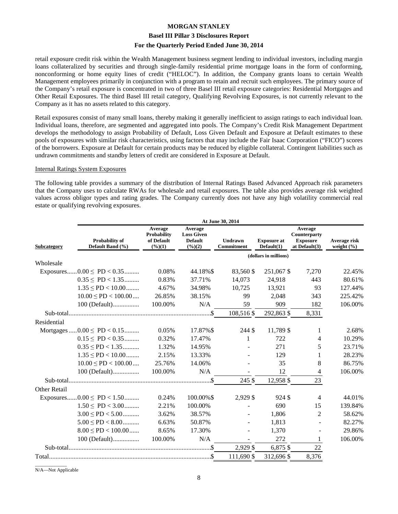#### **Basel III Pillar 3 Disclosures Report**

#### **For the Quarterly Period Ended June 30, 2014**

retail exposure credit risk within the Wealth Management business segment lending to individual investors, including margin loans collateralized by securities and through single-family residential prime mortgage loans in the form of conforming, nonconforming or home equity lines of credit ("HELOC"). In addition, the Company grants loans to certain Wealth Management employees primarily in conjunction with a program to retain and recruit such employees. The primary source of the Company's retail exposure is concentrated in two of three Basel III retail exposure categories: Residential Mortgages and Other Retail Exposures. The third Basel III retail category, Qualifying Revolving Exposures, is not currently relevant to the Company as it has no assets related to this category.

Retail exposures consist of many small loans, thereby making it generally inefficient to assign ratings to each individual loan. Individual loans, therefore, are segmented and aggregated into pools. The Company's Credit Risk Management Department develops the methodology to assign Probability of Default, Loss Given Default and Exposure at Default estimates to these pools of exposures with similar risk characteristics, using factors that may include the Fair Isaac Corporation ("FICO") scores of the borrowers. Exposure at Default for certain products may be reduced by eligible collateral. Contingent liabilities such as undrawn commitments and standby letters of credit are considered in Exposure at Default.

#### Internal Ratings System Exposures

The following table provides a summary of the distribution of Internal Ratings Based Advanced Approach risk parameters that the Company uses to calculate RWAs for wholesale and retail exposures. The table also provides average risk weighted values across obligor types and rating grades. The Company currently does not have any high volatility commercial real estate or qualifying revolving exposures.

|                                        | At June 30, 2014                   |                                                                   |                                                                      |                              |                                  |                                                             |                                |  |  |
|----------------------------------------|------------------------------------|-------------------------------------------------------------------|----------------------------------------------------------------------|------------------------------|----------------------------------|-------------------------------------------------------------|--------------------------------|--|--|
| Subcategory                            | Probability of<br>Default Band (%) | Average<br><b>Probability</b><br>of Default<br>$(\frac{6}{6})(1)$ | Average<br><b>Loss Given</b><br><b>Default</b><br>$(\frac{9}{6})(2)$ | <b>Undrawn</b><br>Commitment | <b>Exposure at</b><br>Default(1) | Average<br>Counterparty<br><b>Exposure</b><br>at Default(3) | Average risk<br>weight $(\% )$ |  |  |
|                                        |                                    |                                                                   |                                                                      |                              | (dollars in millions)            |                                                             |                                |  |  |
| Wholesale                              |                                    |                                                                   |                                                                      |                              |                                  |                                                             |                                |  |  |
| Exposures $0.00 \leq PD < 0.35$        |                                    | 0.08%                                                             | 44.18%\$                                                             | 83,560 \$                    | 251,067 \$                       | 7,270                                                       | 22.45%                         |  |  |
|                                        | $0.35 \leq P D < 1.35$             | 0.83%                                                             | 37.71%                                                               | 14,073                       | 24,918                           | 443                                                         | 80.61%                         |  |  |
|                                        | $1.35 \leq P D < 10.00$            | 4.67%                                                             | 34.98%                                                               | 10,725                       | 13,921                           | 93                                                          | 127.44%                        |  |  |
|                                        | $10.00 \leq P D < 100.00 \dots$    | 26.85%                                                            | 38.15%                                                               | 99                           | 2,048                            | 343                                                         | 225.42%                        |  |  |
|                                        | 100 (Default)                      | 100.00%                                                           | N/A                                                                  | 59                           | 909                              | 182                                                         | 106.00%                        |  |  |
|                                        |                                    |                                                                   |                                                                      | 108,516 \$                   | 292,863 \$                       | 8,331                                                       |                                |  |  |
| Residential                            |                                    |                                                                   |                                                                      |                              |                                  |                                                             |                                |  |  |
| Mortgages $0.00 \leq \text{PD} < 0.15$ |                                    | 0.05%                                                             | 17.87%\$                                                             | 244 \$                       | 11,789 \$                        | 1                                                           | 2.68%                          |  |  |
|                                        | $0.15 \leq P D < 0.35$             | 0.32%                                                             | 17.47%                                                               | 1                            | 722                              | 4                                                           | 10.29%                         |  |  |
|                                        | $0.35 \leq P D < 1.35$             | 1.32%                                                             | 14.95%                                                               |                              | 271                              | 5                                                           | 23.71%                         |  |  |
|                                        | $1.35 \leq PD < 10.00$             | 2.15%                                                             | 13.33%                                                               |                              | 129                              | 1                                                           | 28.23%                         |  |  |
|                                        | $10.00 \leq PD < 100.00 \dots$     | 25.76%                                                            | 14.06%                                                               |                              | 35                               | 8                                                           | 86.75%                         |  |  |
|                                        | 100 (Default)                      | 100.00%                                                           | N/A                                                                  |                              | 12                               | 4                                                           | 106.00%                        |  |  |
|                                        |                                    |                                                                   |                                                                      | 245 \$                       | 12,958 \$                        | 23                                                          |                                |  |  |
| Other Retail                           |                                    |                                                                   |                                                                      |                              |                                  |                                                             |                                |  |  |
| Exposures $0.00 \leq \text{PD} < 1.50$ |                                    | 0.24%                                                             | 100.00%\$                                                            | 2,929 \$                     | 924 \$                           | 4                                                           | 44.01%                         |  |  |
|                                        | $1.50 \leq PD < 3.00$              | 2.21%                                                             | 100.00%                                                              |                              | 690                              | 15                                                          | 139.84%                        |  |  |
|                                        | $3.00 \leq PD < 5.00$              | 3.62%                                                             | 38.57%                                                               |                              | 1,806                            | $\overline{2}$                                              | 58.62%                         |  |  |
|                                        | $5.00 \leq PD < 8.00$              | 6.63%                                                             | 50.87%                                                               |                              | 1,813                            |                                                             | 82.27%                         |  |  |
|                                        | $8.00 \leq PD < 100.00$            | 8.65%                                                             | 17.30%                                                               |                              | 1,370                            |                                                             | 29.86%                         |  |  |
|                                        | 100 (Default)                      | 100.00%                                                           | N/A                                                                  |                              | 272                              | 1                                                           | 106.00%                        |  |  |
|                                        |                                    |                                                                   |                                                                      | 2,929 \$                     | 6,875 \$                         | 22                                                          |                                |  |  |
|                                        |                                    |                                                                   |                                                                      | 111,690 \$                   | 312,696 \$                       | 8,376                                                       |                                |  |  |

 $\overline{\phantom{a}}$  , where  $\overline{\phantom{a}}$ N/A—Not Applicable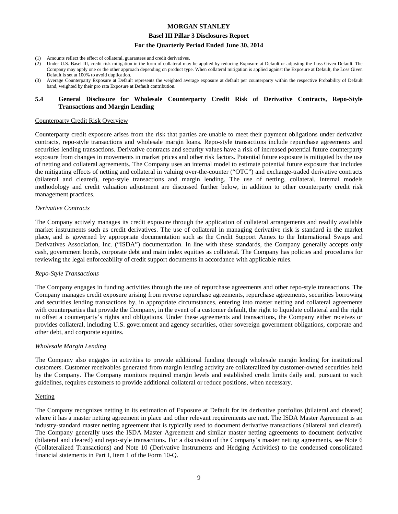#### **Basel III Pillar 3 Disclosures Report**

#### **For the Quarterly Period Ended June 30, 2014**

- (1) Amounts reflect the effect of collateral, guarantees and credit derivatives.
- (2) Under U.S. Basel III, credit risk mitigation in the form of collateral may be applied by reducing Exposure at Default or adjusting the Loss Given Default. The Company may apply one or the other approach depending on product type. When collateral mitigation is applied against the Exposure at Default, the Loss Given Default is set at 100% to avoid duplication.
- (3) Average Counterparty Exposure at Default represents the weighted average exposure at default per counterparty within the respective Probability of Default band, weighted by their pro rata Exposure at Default contribution.

#### **5.4 General Disclosure for Wholesale Counterparty Credit Risk of Derivative Contracts, Repo-Style Transactions and Margin Lending**

#### Counterparty Credit Risk Overview

Counterparty credit exposure arises from the risk that parties are unable to meet their payment obligations under derivative contracts, repo-style transactions and wholesale margin loans. Repo-style transactions include repurchase agreements and securities lending transactions. Derivative contracts and security values have a risk of increased potential future counterparty exposure from changes in movements in market prices and other risk factors. Potential future exposure is mitigated by the use of netting and collateral agreements. The Company uses an internal model to estimate potential future exposure that includes the mitigating effects of netting and collateral in valuing over-the-counter ("OTC") and exchange-traded derivative contracts (bilateral and cleared), repo-style transactions and margin lending. The use of netting, collateral, internal models methodology and credit valuation adjustment are discussed further below, in addition to other counterparty credit risk management practices.

#### *Derivative Contracts*

The Company actively manages its credit exposure through the application of collateral arrangements and readily available market instruments such as credit derivatives. The use of collateral in managing derivative risk is standard in the market place, and is governed by appropriate documentation such as the Credit Support Annex to the International Swaps and Derivatives Association, Inc. ("ISDA") documentation. In line with these standards, the Company generally accepts only cash, government bonds, corporate debt and main index equities as collateral. The Company has policies and procedures for reviewing the legal enforceability of credit support documents in accordance with applicable rules.

#### *Repo-Style Transactions*

The Company engages in funding activities through the use of repurchase agreements and other repo-style transactions. The Company manages credit exposure arising from reverse repurchase agreements, repurchase agreements, securities borrowing and securities lending transactions by, in appropriate circumstances, entering into master netting and collateral agreements with counterparties that provide the Company, in the event of a customer default, the right to liquidate collateral and the right to offset a counterparty's rights and obligations. Under these agreements and transactions, the Company either receives or provides collateral, including U.S. government and agency securities, other sovereign government obligations, corporate and other debt, and corporate equities.

#### *Wholesale Margin Lending*

The Company also engages in activities to provide additional funding through wholesale margin lending for institutional customers. Customer receivables generated from margin lending activity are collateralized by customer-owned securities held by the Company. The Company monitors required margin levels and established credit limits daily and, pursuant to such guidelines, requires customers to provide additional collateral or reduce positions, when necessary.

#### **Netting**

The Company recognizes netting in its estimation of Exposure at Default for its derivative portfolios (bilateral and cleared) where it has a master netting agreement in place and other relevant requirements are met. The ISDA Master Agreement is an industry-standard master netting agreement that is typically used to document derivative transactions (bilateral and cleared). The Company generally uses the ISDA Master Agreement and similar master netting agreements to document derivative (bilateral and cleared) and repo-style transactions. For a discussion of the Company's master netting agreements, see Note 6 (Collateralized Transactions) and Note 10 (Derivative Instruments and Hedging Activities) to the condensed consolidated financial statements in Part I, Item 1 of the Form 10-Q.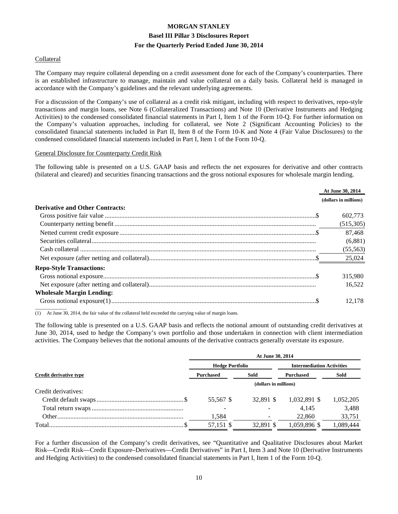#### Collateral

The Company may require collateral depending on a credit assessment done for each of the Company's counterparties. There is an established infrastructure to manage, maintain and value collateral on a daily basis. Collateral held is managed in accordance with the Company's guidelines and the relevant underlying agreements.

For a discussion of the Company's use of collateral as a credit risk mitigant, including with respect to derivatives, repo-style transactions and margin loans, see Note 6 (Collateralized Transactions) and Note 10 (Derivative Instruments and Hedging Activities) to the condensed consolidated financial statements in Part I, Item 1 of the Form 10-Q. For further information on the Company's valuation approaches, including for collateral, see Note 2 (Significant Accounting Policies) to the consolidated financial statements included in Part II, Item 8 of the Form 10-K and Note 4 (Fair Value Disclosures) to the condensed consolidated financial statements included in Part I, Item 1 of the Form 10-Q.

#### General Disclosure for Counterparty Credit Risk

The following table is presented on a U.S. GAAP basis and reflects the net exposures for derivative and other contracts (bilateral and cleared) and securities financing transactions and the gross notional exposures for wholesale margin lending.

|                                        | At June 30, 2014      |
|----------------------------------------|-----------------------|
|                                        | (dollars in millions) |
| <b>Derivative and Other Contracts:</b> |                       |
|                                        | 602.773               |
|                                        | (515,305)             |
|                                        | 87.468                |
|                                        | (6,881)               |
|                                        | (55, 563)             |
|                                        | 25,024                |
| <b>Repo-Style Transactions:</b>        |                       |
|                                        | 315,980               |
|                                        | 16.522                |
| <b>Wholesale Margin Lending:</b>       |                       |
|                                        | 12.178                |

(1) At June 30, 2014, the fair value of the collateral held exceeded the carrying value of margin loans.

The following table is presented on a U.S. GAAP basis and reflects the notional amount of outstanding credit derivatives at June 30, 2014, used to hedge the Company's own portfolio and those undertaken in connection with client intermediation activities. The Company believes that the notional amounts of the derivative contracts generally overstate its exposure.

|                               | At June 30, 2014       |                       |                                  |           |  |  |  |  |
|-------------------------------|------------------------|-----------------------|----------------------------------|-----------|--|--|--|--|
|                               | <b>Hedge Portfolio</b> |                       | <b>Intermediation Activities</b> |           |  |  |  |  |
| <b>Credit derivative type</b> | <b>Purchased</b>       | Sold                  | <b>Purchased</b>                 | Sold      |  |  |  |  |
|                               |                        | (dollars in millions) |                                  |           |  |  |  |  |
| Credit derivatives:           |                        |                       |                                  |           |  |  |  |  |
|                               | 55,567 \$              | 32.891 \$             | 1,032,891 \$                     | 1,052,205 |  |  |  |  |
|                               |                        |                       | 4.145                            | 3,488     |  |  |  |  |
|                               | 1,584                  |                       | 22,860                           | 33,751    |  |  |  |  |
|                               | 57,151 \$              | 32.891 \$             | 1,059,896 \$                     | 1,089,444 |  |  |  |  |

For a further discussion of the Company's credit derivatives, see "Quantitative and Qualitative Disclosures about Market Risk—Credit Risk—Credit Exposure–Derivatives—Credit Derivatives" in Part I, Item 3 and Note 10 (Derivative Instruments and Hedging Activities) to the condensed consolidated financial statements in Part I, Item 1 of the Form 10-Q.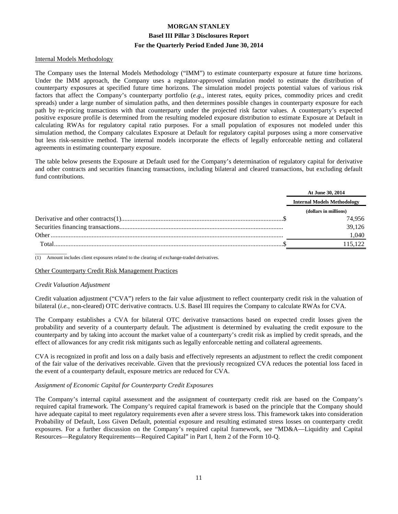#### Internal Models Methodology

The Company uses the Internal Models Methodology ("IMM") to estimate counterparty exposure at future time horizons. Under the IMM approach, the Company uses a regulator-approved simulation model to estimate the distribution of counterparty exposures at specified future time horizons. The simulation model projects potential values of various risk factors that affect the Company's counterparty portfolio (*e.g.*, interest rates, equity prices, commodity prices and credit spreads) under a large number of simulation paths, and then determines possible changes in counterparty exposure for each path by re-pricing transactions with that counterparty under the projected risk factor values. A counterparty's expected positive exposure profile is determined from the resulting modeled exposure distribution to estimate Exposure at Default in calculating RWAs for regulatory capital ratio purposes. For a small population of exposures not modeled under this simulation method, the Company calculates Exposure at Default for regulatory capital purposes using a more conservative but less risk-sensitive method. The internal models incorporate the effects of legally enforceable netting and collateral agreements in estimating counterparty exposure.

The table below presents the Exposure at Default used for the Company's determination of regulatory capital for derivative and other contracts and securities financing transactions, including bilateral and cleared transactions, but excluding default fund contributions.

|       | At June 30, 2014                   |
|-------|------------------------------------|
|       | <b>Internal Models Methodology</b> |
|       | (dollars in millions)              |
|       | 74,956                             |
|       | 39,126                             |
|       | 1,040                              |
| Total | 115 122                            |
|       |                                    |

(1) Amount includes client exposures related to the clearing of exchange-traded derivatives.

#### Other Counterparty Credit Risk Management Practices

#### *Credit Valuation Adjustment*

Credit valuation adjustment ("CVA") refers to the fair value adjustment to reflect counterparty credit risk in the valuation of bilateral (*i.e.,* non-cleared) OTC derivative contracts. U.S. Basel III requires the Company to calculate RWAs for CVA.

The Company establishes a CVA for bilateral OTC derivative transactions based on expected credit losses given the probability and severity of a counterparty default. The adjustment is determined by evaluating the credit exposure to the counterparty and by taking into account the market value of a counterparty's credit risk as implied by credit spreads, and the effect of allowances for any credit risk mitigants such as legally enforceable netting and collateral agreements.

CVA is recognized in profit and loss on a daily basis and effectively represents an adjustment to reflect the credit component of the fair value of the derivatives receivable. Given that the previously recognized CVA reduces the potential loss faced in the event of a counterparty default, exposure metrics are reduced for CVA.

#### *Assignment of Economic Capital for Counterparty Credit Exposures*

The Company's internal capital assessment and the assignment of counterparty credit risk are based on the Company's required capital framework. The Company's required capital framework is based on the principle that the Company should have adequate capital to meet regulatory requirements even after a severe stress loss. This framework takes into consideration Probability of Default, Loss Given Default, potential exposure and resulting estimated stress losses on counterparty credit exposures. For a further discussion on the Company's required capital framework, see "MD&A—Liquidity and Capital Resources—Regulatory Requirements—Required Capital" in Part I, Item 2 of the Form 10-Q.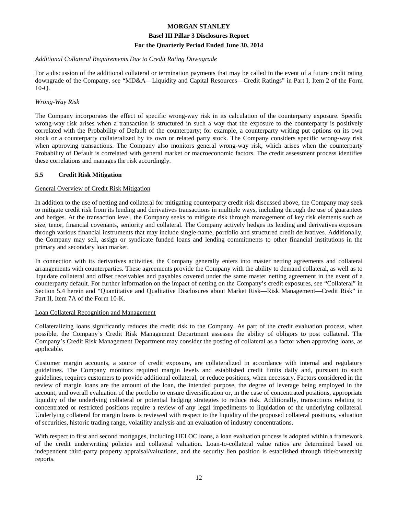#### *Additional Collateral Requirements Due to Credit Rating Downgrade*

For a discussion of the additional collateral or termination payments that may be called in the event of a future credit rating downgrade of the Company, see "MD&A—Liquidity and Capital Resources—Credit Ratings" in Part I, Item 2 of the Form 10-Q.

#### *Wrong-Way Risk*

The Company incorporates the effect of specific wrong-way risk in its calculation of the counterparty exposure. Specific wrong-way risk arises when a transaction is structured in such a way that the exposure to the counterparty is positively correlated with the Probability of Default of the counterparty; for example, a counterparty writing put options on its own stock or a counterparty collateralized by its own or related party stock. The Company considers specific wrong-way risk when approving transactions. The Company also monitors general wrong-way risk, which arises when the counterparty Probability of Default is correlated with general market or macroeconomic factors. The credit assessment process identifies these correlations and manages the risk accordingly.

#### **5.5 Credit Risk Mitigation**

#### General Overview of Credit Risk Mitigation

In addition to the use of netting and collateral for mitigating counterparty credit risk discussed above, the Company may seek to mitigate credit risk from its lending and derivatives transactions in multiple ways, including through the use of guarantees and hedges. At the transaction level, the Company seeks to mitigate risk through management of key risk elements such as size, tenor, financial covenants, seniority and collateral. The Company actively hedges its lending and derivatives exposure through various financial instruments that may include single-name, portfolio and structured credit derivatives. Additionally, the Company may sell, assign or syndicate funded loans and lending commitments to other financial institutions in the primary and secondary loan market.

In connection with its derivatives activities, the Company generally enters into master netting agreements and collateral arrangements with counterparties. These agreements provide the Company with the ability to demand collateral, as well as to liquidate collateral and offset receivables and payables covered under the same master netting agreement in the event of a counterparty default. For further information on the impact of netting on the Company's credit exposures, see "Collateral" in Section 5.4 herein and "Quantitative and Qualitative Disclosures about Market Risk—Risk Management—Credit Risk" in Part II, Item 7A of the Form 10-K.

#### Loan Collateral Recognition and Management

Collateralizing loans significantly reduces the credit risk to the Company. As part of the credit evaluation process, when possible, the Company's Credit Risk Management Department assesses the ability of obligors to post collateral. The Company's Credit Risk Management Department may consider the posting of collateral as a factor when approving loans, as applicable.

Customer margin accounts, a source of credit exposure, are collateralized in accordance with internal and regulatory guidelines. The Company monitors required margin levels and established credit limits daily and, pursuant to such guidelines, requires customers to provide additional collateral, or reduce positions, when necessary. Factors considered in the review of margin loans are the amount of the loan, the intended purpose, the degree of leverage being employed in the account, and overall evaluation of the portfolio to ensure diversification or, in the case of concentrated positions, appropriate liquidity of the underlying collateral or potential hedging strategies to reduce risk. Additionally, transactions relating to concentrated or restricted positions require a review of any legal impediments to liquidation of the underlying collateral. Underlying collateral for margin loans is reviewed with respect to the liquidity of the proposed collateral positions, valuation of securities, historic trading range, volatility analysis and an evaluation of industry concentrations.

With respect to first and second mortgages, including HELOC loans, a loan evaluation process is adopted within a framework of the credit underwriting policies and collateral valuation. Loan-to-collateral value ratios are determined based on independent third-party property appraisal/valuations, and the security lien position is established through title/ownership reports.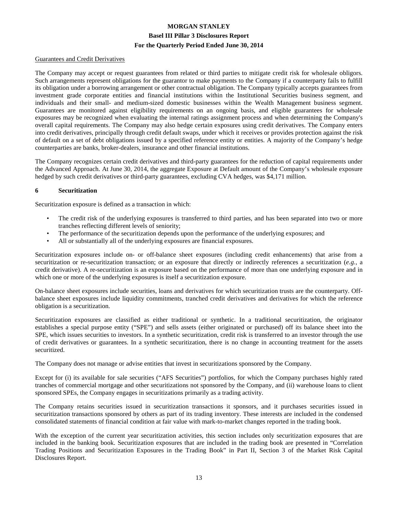#### Guarantees and Credit Derivatives

The Company may accept or request guarantees from related or third parties to mitigate credit risk for wholesale obligors. Such arrangements represent obligations for the guarantor to make payments to the Company if a counterparty fails to fulfill its obligation under a borrowing arrangement or other contractual obligation. The Company typically accepts guarantees from investment grade corporate entities and financial institutions within the Institutional Securities business segment, and individuals and their small- and medium-sized domestic businesses within the Wealth Management business segment. Guarantees are monitored against eligibility requirements on an ongoing basis, and eligible guarantees for wholesale exposures may be recognized when evaluating the internal ratings assignment process and when determining the Company's overall capital requirements. The Company may also hedge certain exposures using credit derivatives. The Company enters into credit derivatives, principally through credit default swaps, under which it receives or provides protection against the risk of default on a set of debt obligations issued by a specified reference entity or entities. A majority of the Company's hedge counterparties are banks, broker-dealers, insurance and other financial institutions.

The Company recognizes certain credit derivatives and third-party guarantees for the reduction of capital requirements under the Advanced Approach. At June 30, 2014, the aggregate Exposure at Default amount of the Company's wholesale exposure hedged by such credit derivatives or third-party guarantees, excluding CVA hedges, was \$4,171 million.

#### **6 Securitization**

Securitization exposure is defined as a transaction in which:

- The credit risk of the underlying exposures is transferred to third parties, and has been separated into two or more tranches reflecting different levels of seniority;
- The performance of the securitization depends upon the performance of the underlying exposures; and
- All or substantially all of the underlying exposures are financial exposures.

Securitization exposures include on- or off-balance sheet exposures (including credit enhancements) that arise from a securitization or re-securitization transaction; or an exposure that directly or indirectly references a securitization (*e.g.*, a credit derivative). A re-securitization is an exposure based on the performance of more than one underlying exposure and in which one or more of the underlying exposures is itself a securitization exposure.

On-balance sheet exposures include securities, loans and derivatives for which securitization trusts are the counterparty. Offbalance sheet exposures include liquidity commitments, tranched credit derivatives and derivatives for which the reference obligation is a securitization.

Securitization exposures are classified as either traditional or synthetic. In a traditional securitization, the originator establishes a special purpose entity ("SPE") and sells assets (either originated or purchased) off its balance sheet into the SPE, which issues securities to investors. In a synthetic securitization, credit risk is transferred to an investor through the use of credit derivatives or guarantees. In a synthetic securitization, there is no change in accounting treatment for the assets securitized.

The Company does not manage or advise entities that invest in securitizations sponsored by the Company.

Except for (i) its available for sale securities ("AFS Securities") portfolios, for which the Company purchases highly rated tranches of commercial mortgage and other securitizations not sponsored by the Company, and (ii) warehouse loans to client sponsored SPEs, the Company engages in securitizations primarily as a trading activity.

The Company retains securities issued in securitization transactions it sponsors, and it purchases securities issued in securitization transactions sponsored by others as part of its trading inventory. These interests are included in the condensed consolidated statements of financial condition at fair value with mark-to-market changes reported in the trading book.

With the exception of the current year securitization activities, this section includes only securitization exposures that are included in the banking book. Securitization exposures that are included in the trading book are presented in "Correlation Trading Positions and Securitization Exposures in the Trading Book" in Part II, Section 3 of the Market Risk Capital Disclosures Report.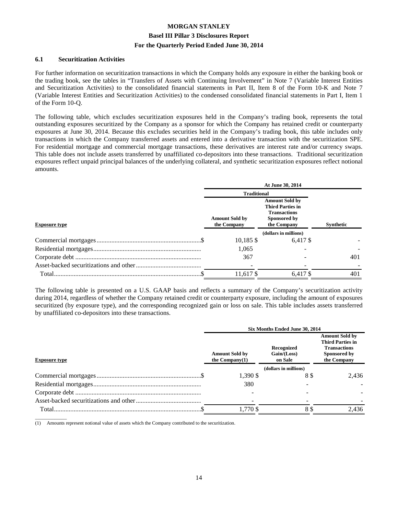#### **6.1 Securitization Activities**

For further information on securitization transactions in which the Company holds any exposure in either the banking book or the trading book, see the tables in "Transfers of Assets with Continuing Involvement" in Note 7 (Variable Interest Entities and Securitization Activities) to the consolidated financial statements in Part II, Item 8 of the Form 10-K and Note 7 (Variable Interest Entities and Securitization Activities) to the condensed consolidated financial statements in Part I, Item 1 of the Form 10-Q.

The following table, which excludes securitization exposures held in the Company's trading book, represents the total outstanding exposures securitized by the Company as a sponsor for which the Company has retained credit or counterparty exposures at June 30, 2014. Because this excludes securities held in the Company's trading book, this table includes only transactions in which the Company transferred assets and entered into a derivative transaction with the securitization SPE. For residential mortgage and commercial mortgage transactions, these derivatives are interest rate and/or currency swaps. This table does not include assets transferred by unaffiliated co-depositors into these transactions. Traditional securitization exposures reflect unpaid principal balances of the underlying collateral, and synthetic securitization exposures reflect notional amounts.

|                      | At June 30, 2014                     |                                                                                                        |                  |  |  |
|----------------------|--------------------------------------|--------------------------------------------------------------------------------------------------------|------------------|--|--|
|                      | <b>Traditional</b>                   |                                                                                                        |                  |  |  |
| <b>Exposure type</b> | <b>Amount Sold by</b><br>the Company | <b>Amount Sold by</b><br><b>Third Parties in</b><br><b>Transactions</b><br>Sponsored by<br>the Company | <b>Synthetic</b> |  |  |
|                      |                                      | (dollars in millions)                                                                                  |                  |  |  |
|                      | $10,185$ \$                          | 6.417 \$                                                                                               |                  |  |  |
|                      | 1,065                                |                                                                                                        |                  |  |  |
|                      | 367                                  |                                                                                                        | 401              |  |  |
|                      |                                      |                                                                                                        |                  |  |  |
|                      | 11.617 \$                            | 6.417 \$                                                                                               | 401              |  |  |

The following table is presented on a U.S. GAAP basis and reflects a summary of the Company's securitization activity during 2014, regardless of whether the Company retained credit or counterparty exposure, including the amount of exposures securitized (by exposure type), and the corresponding recognized gain or loss on sale. This table includes assets transferred by unaffiliated co-depositors into these transactions.

|                      | Six Months Ended June 30, 2014            |                                      |                                                                                                        |  |
|----------------------|-------------------------------------------|--------------------------------------|--------------------------------------------------------------------------------------------------------|--|
| <b>Exposure type</b> | <b>Amount Sold by</b><br>the $Commonv(1)$ | Recognized<br>Gain/(Loss)<br>on Sale | <b>Amount Sold by</b><br><b>Third Parties in</b><br><b>Transactions</b><br>Sponsored by<br>the Company |  |
|                      |                                           | (dollars in millions)                |                                                                                                        |  |
|                      | 1,390 \$                                  | 88                                   | 2,436                                                                                                  |  |
|                      | 380                                       |                                      |                                                                                                        |  |
|                      |                                           |                                      |                                                                                                        |  |
|                      |                                           |                                      |                                                                                                        |  |
| Total.               | 1.770 \$                                  | 8 \$                                 | 2.436                                                                                                  |  |

 $\overline{\phantom{a}}$  , where  $\overline{\phantom{a}}$ (1) Amounts represent notional value of assets which the Company contributed to the securitization.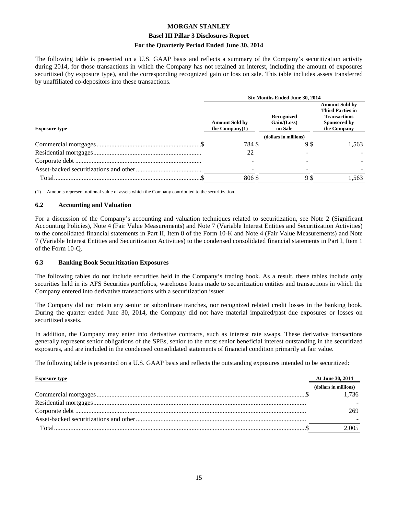#### **Basel III Pillar 3 Disclosures Report**

#### **For the Quarterly Period Ended June 30, 2014**

The following table is presented on a U.S. GAAP basis and reflects a summary of the Company's securitization activity during 2014, for those transactions in which the Company has not retained an interest, including the amount of exposures securitized (by exposure type), and the corresponding recognized gain or loss on sale. This table includes assets transferred by unaffiliated co-depositors into these transactions.

|                      | Six Months Ended June 30, 2014             |                                        |                                                                                                        |  |
|----------------------|--------------------------------------------|----------------------------------------|--------------------------------------------------------------------------------------------------------|--|
| <b>Exposure type</b> | <b>Amount Sold by</b><br>the Company $(1)$ | Recognized<br>Gain / (Loss)<br>on Sale | <b>Amount Sold by</b><br><b>Third Parties in</b><br><b>Transactions</b><br>Sponsored by<br>the Company |  |
|                      |                                            | (dollars in millions)                  |                                                                                                        |  |
|                      | 784 \$                                     | 98                                     | 1,563                                                                                                  |  |
|                      | 22                                         |                                        |                                                                                                        |  |
|                      |                                            |                                        |                                                                                                        |  |
|                      |                                            |                                        |                                                                                                        |  |
|                      | 806\$                                      | 9\$                                    | .563                                                                                                   |  |

 $\overline{\phantom{a}}$  , where  $\overline{\phantom{a}}$ (1) Amounts represent notional value of assets which the Company contributed to the securitization.

#### **6.2 Accounting and Valuation**

For a discussion of the Company's accounting and valuation techniques related to securitization, see Note 2 (Significant Accounting Policies), Note 4 (Fair Value Measurements) and Note 7 (Variable Interest Entities and Securitization Activities) to the consolidated financial statements in Part II, Item 8 of the Form 10-K and Note 4 (Fair Value Measurements) and Note 7 (Variable Interest Entities and Securitization Activities) to the condensed consolidated financial statements in Part I, Item 1 of the Form 10-Q.

#### **6.3 Banking Book Securitization Exposures**

The following tables do not include securities held in the Company's trading book. As a result, these tables include only securities held in its AFS Securities portfolios, warehouse loans made to securitization entities and transactions in which the Company entered into derivative transactions with a securitization issuer.

The Company did not retain any senior or subordinate tranches, nor recognized related credit losses in the banking book. During the quarter ended June 30, 2014, the Company did not have material impaired/past due exposures or losses on securitized assets.

In addition, the Company may enter into derivative contracts, such as interest rate swaps. These derivative transactions generally represent senior obligations of the SPEs, senior to the most senior beneficial interest outstanding in the securitized exposures, and are included in the condensed consolidated statements of financial condition primarily at fair value.

The following table is presented on a U.S. GAAP basis and reflects the outstanding exposures intended to be securitized:

| <b>Exposure type</b> | At June 30, 2014      |
|----------------------|-----------------------|
|                      | (dollars in millions) |
|                      | 1.736                 |
|                      |                       |
|                      | 269.                  |
|                      |                       |
| Total.               | 2,005                 |
|                      |                       |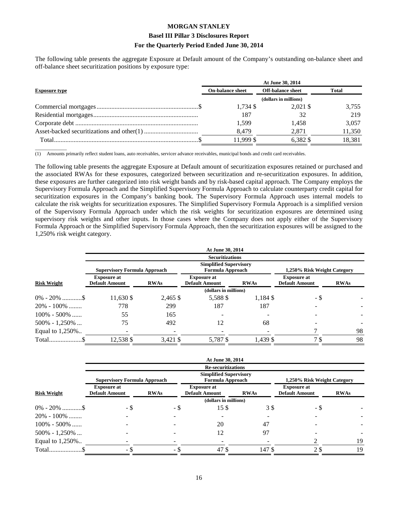#### **Basel III Pillar 3 Disclosures Report**

#### **For the Quarterly Period Ended June 30, 2014**

The following table presents the aggregate Exposure at Default amount of the Company's outstanding on-balance sheet and off-balance sheet securitization positions by exposure type:

|                      | At June 30, 2014        |                          |        |  |  |
|----------------------|-------------------------|--------------------------|--------|--|--|
| <b>Exposure type</b> | <b>On-balance sheet</b> | <b>Off-balance sheet</b> | Total  |  |  |
|                      |                         | (dollars in millions)    |        |  |  |
|                      | $1.734$ \$              | 2.021 \$                 | 3,755  |  |  |
|                      | 187                     | 32                       | 219    |  |  |
|                      | 1.599                   | 1.458                    | 3,057  |  |  |
|                      | 8.479                   | 2.871                    | 11,350 |  |  |
|                      | 11.999 \$               | 6.382 \$                 | 18.381 |  |  |

 $\overline{\phantom{a}}$  , where  $\overline{\phantom{a}}$ (1) Amounts primarily reflect student loans, auto receivables, servicer advance receivables, municipal bonds and credit card receivables.

The following table presents the aggregate Exposure at Default amount of securitization exposures retained or purchased and the associated RWAs for these exposures, categorized between securitization and re-securitization exposures. In addition, these exposures are further categorized into risk weight bands and by risk-based capital approach. The Company employs the Supervisory Formula Approach and the Simplified Supervisory Formula Approach to calculate counterparty credit capital for securitization exposures in the Company's banking book. The Supervisory Formula Approach uses internal models to calculate the risk weights for securitization exposures. The Simplified Supervisory Formula Approach is a simplified version of the Supervisory Formula Approach under which the risk weights for securitization exposures are determined using supervisory risk weights and other inputs. In those cases where the Company does not apply either of the Supervisory Formula Approach or the Simplified Supervisory Formula Approach, then the securitization exposures will be assigned to the 1,250% risk weight category.

|                    |                                             |             | At June 30, 2014                            |             |                                             |             |  |
|--------------------|---------------------------------------------|-------------|---------------------------------------------|-------------|---------------------------------------------|-------------|--|
|                    |                                             |             | <b>Securitizations</b>                      |             |                                             |             |  |
|                    |                                             |             | <b>Simplified Supervisory</b>               |             |                                             |             |  |
|                    | <b>Supervisory Formula Approach</b>         |             | <b>Formula Approach</b>                     |             | 1,250% Risk Weight Category                 |             |  |
| <b>Risk Weight</b> | <b>Exposure at</b><br><b>Default Amount</b> | <b>RWAs</b> | <b>Exposure at</b><br><b>Default Amount</b> | <b>RWAs</b> | <b>Exposure at</b><br><b>Default Amount</b> | <b>RWAs</b> |  |
|                    |                                             |             | (dollars in millions)                       |             |                                             |             |  |
|                    | 11,630 \$                                   | 2,465 \$    | 5,588 \$                                    | 1,184 \$    | - \$                                        |             |  |
| $20\% - 100\%$     | 778                                         | 299         | 187                                         | 187         |                                             |             |  |
| $100\% - 500\%$    | 55                                          | 165         |                                             |             |                                             |             |  |
| $500\% - 1,250\%$  | 75                                          | 492         | 12                                          | 68          |                                             |             |  |
| Equal to 1,250%    |                                             |             |                                             |             |                                             | 98          |  |
|                    | 12,538 \$                                   | 3,421 \$    | 5,787 \$                                    | 1,439 \$    | 7 <sup>§</sup>                              | 98          |  |

|                    |                                             |             | At June 30, 2014                                         |             |                                             |             |
|--------------------|---------------------------------------------|-------------|----------------------------------------------------------|-------------|---------------------------------------------|-------------|
|                    |                                             |             | <b>Re-securitizations</b>                                |             |                                             |             |
|                    | <b>Supervisory Formula Approach</b>         |             | <b>Simplified Supervisory</b><br><b>Formula Approach</b> |             | 1,250% Risk Weight Category                 |             |
| <b>Risk Weight</b> | <b>Exposure at</b><br><b>Default Amount</b> | <b>RWAs</b> | <b>Exposure at</b><br><b>Default Amount</b>              | <b>RWAs</b> | <b>Exposure at</b><br><b>Default Amount</b> | <b>RWAs</b> |
|                    |                                             |             | (dollars in millions)                                    |             |                                             |             |
| $0\% - 20\%$ \$    | - \$                                        | - \$        | 15\$                                                     | 3 S         | - \$                                        |             |
| $20\% - 100\%$     |                                             |             |                                                          |             |                                             |             |
| $100\% - 500\%$    |                                             |             | 20                                                       | 47          |                                             |             |
| $500\% - 1,250\%$  |                                             |             | 12                                                       | 97          |                                             |             |
| Equal to 1,250%    |                                             |             |                                                          |             |                                             | 19          |
| Total\$            | - \$                                        | - \$        | 47\$                                                     | 147\$       | 2 \$                                        | 19          |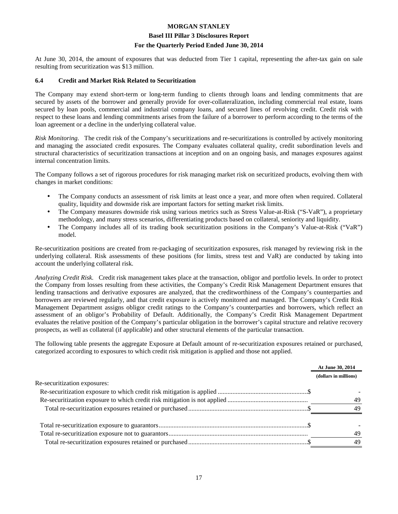#### **Basel III Pillar 3 Disclosures Report**

#### **For the Quarterly Period Ended June 30, 2014**

At June 30, 2014, the amount of exposures that was deducted from Tier 1 capital, representing the after-tax gain on sale resulting from securitization was \$13 million.

#### **6.4 Credit and Market Risk Related to Securitization**

The Company may extend short-term or long-term funding to clients through loans and lending commitments that are secured by assets of the borrower and generally provide for over-collateralization, including commercial real estate, loans secured by loan pools, commercial and industrial company loans, and secured lines of revolving credit. Credit risk with respect to these loans and lending commitments arises from the failure of a borrower to perform according to the terms of the loan agreement or a decline in the underlying collateral value.

*Risk Monitoring.* The credit risk of the Company's securitizations and re-securitizations is controlled by actively monitoring and managing the associated credit exposures. The Company evaluates collateral quality, credit subordination levels and structural characteristics of securitization transactions at inception and on an ongoing basis, and manages exposures against internal concentration limits.

The Company follows a set of rigorous procedures for risk managing market risk on securitized products, evolving them with changes in market conditions:

- The Company conducts an assessment of risk limits at least once a year, and more often when required. Collateral quality, liquidity and downside risk are important factors for setting market risk limits.
- The Company measures downside risk using various metrics such as Stress Value-at-Risk ("S-VaR"), a proprietary methodology, and many stress scenarios, differentiating products based on collateral, seniority and liquidity.
- The Company includes all of its trading book securitization positions in the Company's Value-at-Risk ("VaR") model.

Re-securitization positions are created from re-packaging of securitization exposures, risk managed by reviewing risk in the underlying collateral. Risk assessments of these positions (for limits, stress test and VaR) are conducted by taking into account the underlying collateral risk.

*Analyzing Credit Risk.* Credit risk management takes place at the transaction, obligor and portfolio levels. In order to protect the Company from losses resulting from these activities, the Company's Credit Risk Management Department ensures that lending transactions and derivative exposures are analyzed, that the creditworthiness of the Company's counterparties and borrowers are reviewed regularly, and that credit exposure is actively monitored and managed. The Company's Credit Risk Management Department assigns obligor credit ratings to the Company's counterparties and borrowers, which reflect an assessment of an obligor's Probability of Default. Additionally, the Company's Credit Risk Management Department evaluates the relative position of the Company's particular obligation in the borrower's capital structure and relative recovery prospects, as well as collateral (if applicable) and other structural elements of the particular transaction.

The following table presents the aggregate Exposure at Default amount of re-securitization exposures retained or purchased, categorized according to exposures to which credit risk mitigation is applied and those not applied.

|                              | At June 30, 2014      |  |
|------------------------------|-----------------------|--|
|                              | (dollars in millions) |  |
| Re-securitization exposures: |                       |  |
|                              |                       |  |
|                              | 49                    |  |
|                              | 49                    |  |
|                              |                       |  |
|                              | 49                    |  |
|                              | 49                    |  |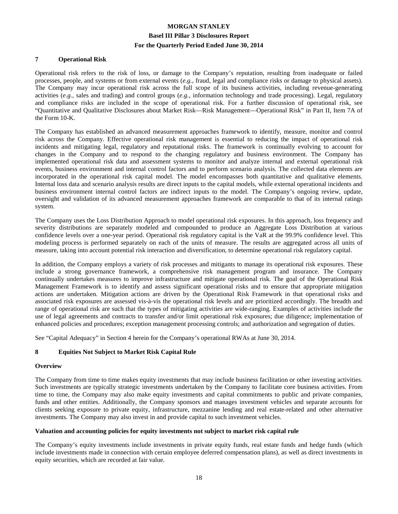#### **7 Operational Risk**

Operational risk refers to the risk of loss, or damage to the Company's reputation, resulting from inadequate or failed processes, people, and systems or from external events (*e.g.*, fraud, legal and compliance risks or damage to physical assets). The Company may incur operational risk across the full scope of its business activities, including revenue-generating activities (*e.g.*, sales and trading) and control groups (*e.g.*, information technology and trade processing). Legal, regulatory and compliance risks are included in the scope of operational risk. For a further discussion of operational risk, see "Quantitative and Qualitative Disclosures about Market Risk—Risk Management—Operational Risk" in Part II, Item 7A of the Form 10-K.

The Company has established an advanced measurement approaches framework to identify, measure, monitor and control risk across the Company. Effective operational risk management is essential to reducing the impact of operational risk incidents and mitigating legal, regulatory and reputational risks. The framework is continually evolving to account for changes in the Company and to respond to the changing regulatory and business environment. The Company has implemented operational risk data and assessment systems to monitor and analyze internal and external operational risk events, business environment and internal control factors and to perform scenario analysis. The collected data elements are incorporated in the operational risk capital model. The model encompasses both quantitative and qualitative elements. Internal loss data and scenario analysis results are direct inputs to the capital models, while external operational incidents and business environment internal control factors are indirect inputs to the model. The Company's ongoing review, update, oversight and validation of its advanced measurement approaches framework are comparable to that of its internal ratings system.

The Company uses the Loss Distribution Approach to model operational risk exposures. In this approach, loss frequency and severity distributions are separately modeled and compounded to produce an Aggregate Loss Distribution at various confidence levels over a one-year period. Operational risk regulatory capital is the VaR at the 99.9% confidence level. This modeling process is performed separately on each of the units of measure. The results are aggregated across all units of measure, taking into account potential risk interaction and diversification, to determine operational risk regulatory capital.

In addition, the Company employs a variety of risk processes and mitigants to manage its operational risk exposures. These include a strong governance framework, a comprehensive risk management program and insurance. The Company continually undertakes measures to improve infrastructure and mitigate operational risk. The goal of the Operational Risk Management Framework is to identify and assess significant operational risks and to ensure that appropriate mitigation actions are undertaken. Mitigation actions are driven by the Operational Risk Framework in that operational risks and associated risk exposures are assessed vis-à-vis the operational risk levels and are prioritized accordingly. The breadth and range of operational risk are such that the types of mitigating activities are wide-ranging. Examples of activities include the use of legal agreements and contracts to transfer and/or limit operational risk exposures; due diligence; implementation of enhanced policies and procedures; exception management processing controls; and authorization and segregation of duties.

See "Capital Adequacy" in Section 4 herein for the Company's operational RWAs at June 30, 2014.

#### **8 Equities Not Subject to Market Risk Capital Rule**

#### **Overview**

The Company from time to time makes equity investments that may include business facilitation or other investing activities. Such investments are typically strategic investments undertaken by the Company to facilitate core business activities. From time to time, the Company may also make equity investments and capital commitments to public and private companies, funds and other entities. Additionally, the Company sponsors and manages investment vehicles and separate accounts for clients seeking exposure to private equity, infrastructure, mezzanine lending and real estate-related and other alternative investments. The Company may also invest in and provide capital to such investment vehicles.

#### **Valuation and accounting policies for equity investments not subject to market risk capital rule**

The Company's equity investments include investments in private equity funds, real estate funds and hedge funds (which include investments made in connection with certain employee deferred compensation plans), as well as direct investments in equity securities, which are recorded at fair value.